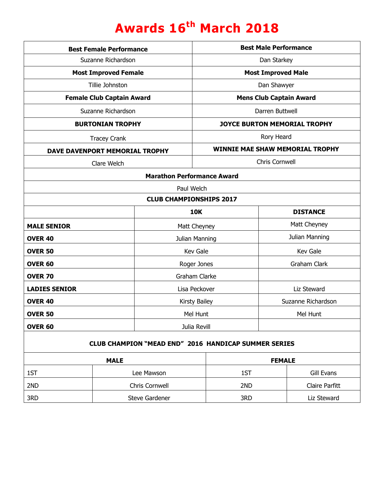## **Awards 16 th March 2018**

| <b>Best Female Performance</b>                              |  |                       | <b>Best Male Performance</b>           |                    |                   |  |
|-------------------------------------------------------------|--|-----------------------|----------------------------------------|--------------------|-------------------|--|
| Suzanne Richardson                                          |  |                       | Dan Starkey                            |                    |                   |  |
| <b>Most Improved Female</b>                                 |  |                       | <b>Most Improved Male</b>              |                    |                   |  |
| Tillie Johnston                                             |  |                       | Dan Shawyer                            |                    |                   |  |
| <b>Female Club Captain Award</b>                            |  |                       | <b>Mens Club Captain Award</b>         |                    |                   |  |
| Suzanne Richardson                                          |  |                       | Darren Buttwell                        |                    |                   |  |
| <b>BURTONIAN TROPHY</b>                                     |  |                       | JOYCE BURTON MEMORIAL TROPHY           |                    |                   |  |
| <b>Tracey Crank</b>                                         |  |                       | Rory Heard                             |                    |                   |  |
| DAVE DAVENPORT MEMORIAL TROPHY                              |  |                       | <b>WINNIE MAE SHAW MEMORIAL TROPHY</b> |                    |                   |  |
| Clare Welch                                                 |  |                       | Chris Cornwell                         |                    |                   |  |
| <b>Marathon Performance Award</b>                           |  |                       |                                        |                    |                   |  |
| Paul Welch                                                  |  |                       |                                        |                    |                   |  |
| <b>CLUB CHAMPIONSHIPS 2017</b>                              |  |                       |                                        |                    |                   |  |
|                                                             |  | <b>10K</b>            |                                        |                    | <b>DISTANCE</b>   |  |
| <b>MALE SENIOR</b>                                          |  |                       | Matt Cheyney                           | Matt Cheyney       |                   |  |
| <b>OVER 40</b>                                              |  | Julian Manning        |                                        | Julian Manning     |                   |  |
| <b>OVER 50</b>                                              |  | Kev Gale              |                                        | Kev Gale           |                   |  |
| OVER <sub>60</sub>                                          |  | Roger Jones           |                                        | Graham Clark       |                   |  |
| <b>OVER 70</b>                                              |  | Graham Clarke         |                                        |                    |                   |  |
| <b>LADIES SENIOR</b>                                        |  | Lisa Peckover         |                                        | Liz Steward        |                   |  |
| <b>OVER 40</b>                                              |  | Kirsty Bailey         |                                        | Suzanne Richardson |                   |  |
| <b>OVER 50</b>                                              |  | Mel Hunt              | Mel Hunt                               |                    |                   |  |
| OVER <sub>60</sub>                                          |  | Julia Revill          |                                        |                    |                   |  |
| <b>CLUB CHAMPION "MEAD END" 2016 HANDICAP SUMMER SERIES</b> |  |                       |                                        |                    |                   |  |
| <b>MALE</b>                                                 |  |                       | <b>FEMALE</b>                          |                    |                   |  |
| 1ST                                                         |  | Lee Mawson            | 1ST                                    |                    | <b>Gill Evans</b> |  |
| 2ND                                                         |  | Chris Cornwell        | 2ND                                    |                    | Claire Parfitt    |  |
| 3RD                                                         |  | <b>Steve Gardener</b> | 3RD                                    |                    | Liz Steward       |  |